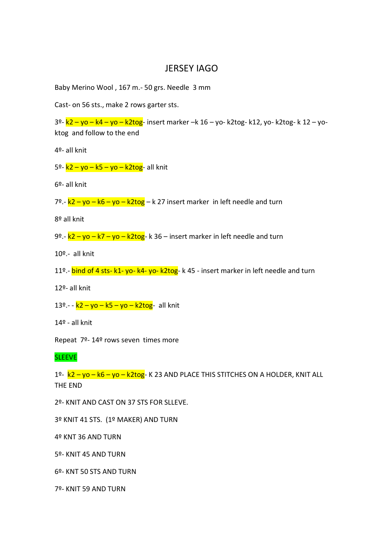## JERSEY IAGO

Baby Merino Wool , 167 m.- 50 grs. Needle 3 mm

Cast- on 56 sts., make 2 rows garter sts.

3º- k2 – yo – k4 – yo – k2tog- insert marker –k 16 – yo- k2tog- k12, yo- k2tog- k 12 – yoktog and follow to the end

4º- all knit

5º-  $k2 - y0 - k5 - y0 - k2t0g$ - all knit

6º- all knit

7º.-  $k2 - y0 - k6 - y0 - k2$ tog – k 27 insert marker in left needle and turn

8º all knit

9º.-  $k2 - y0 - k7 - y0 - k2$ tog-k 36 – insert marker in left needle and turn

10º.- all knit

11º.- **bind of 4 sts- k1- yo- k4- yo- k2tog**- k 45 - insert marker in left needle and turn

12º- all knit

13º.- -  $k2 - y0 - k5 - y0 - k2t0g$ - all knit

14º - all knit

Repeat 7º- 14º rows seven times more

**SLEEVE** 

1º- k2 – yo – k6 – yo – k2tog- K 23 AND PLACE THIS STITCHES ON A HOLDER, KNIT ALL THE END

2º- KNIT AND CAST ON 37 STS FOR SLLEVE.

3º KNIT 41 STS. (1º MAKER) AND TURN

4º KNT 36 AND TURN

5º- KNIT 45 AND TURN

6º- KNT 50 STS AND TURN

7º- KNIT 59 AND TURN